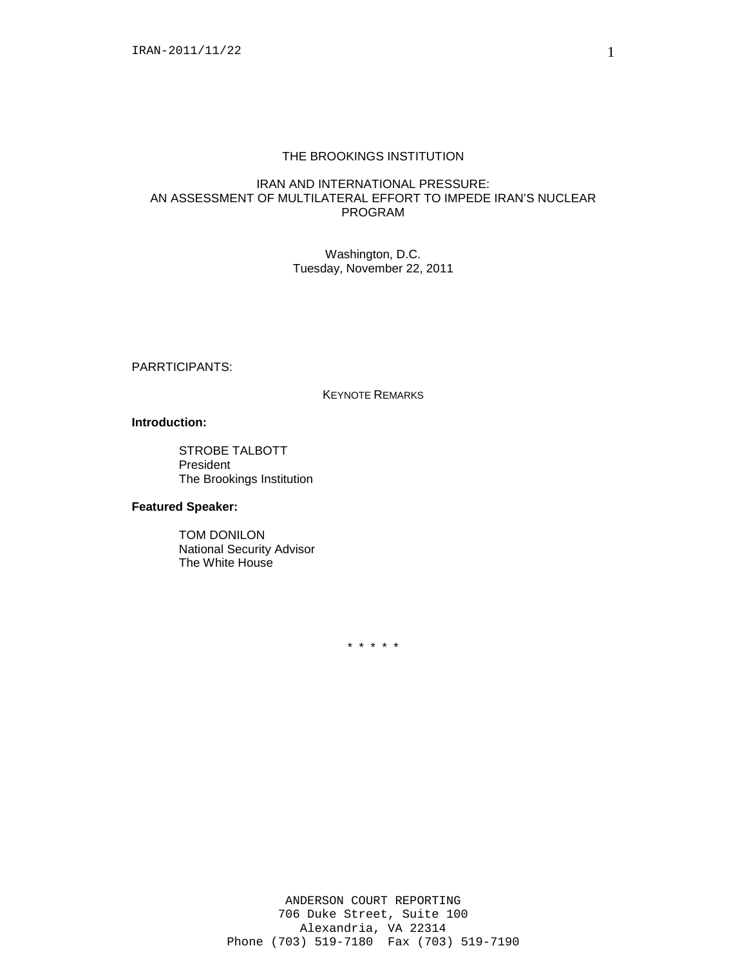# THE BROOKINGS INSTITUTION

## IRAN AND INTERNATIONAL PRESSURE: AN ASSESSMENT OF MULTILATERAL EFFORT TO IMPEDE IRAN'S NUCLEAR PROGRAM

Washington, D.C. Tuesday, November 22, 2011

PARRTICIPANTS:

#### KEYNOTE REMARKS

### **Introduction:**

STROBE TALBOTT President The Brookings Institution

# **Featured Speaker:**

TOM DONILON National Security Advisor The White House

\* \* \* \* \*

1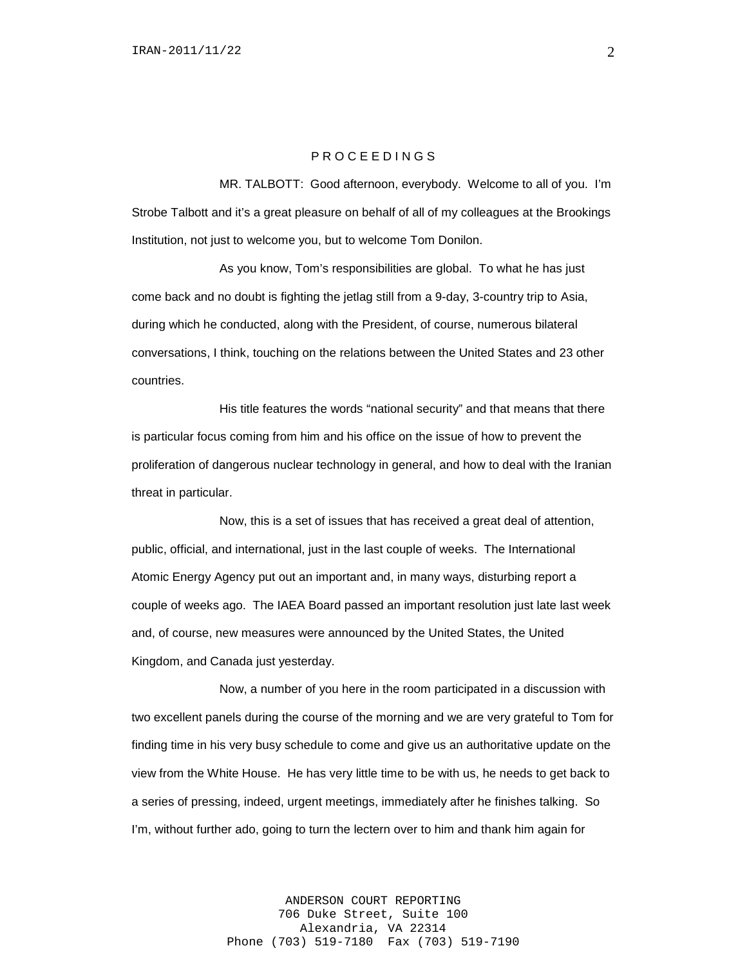### P R O C E E D I N G S

MR. TALBOTT: Good afternoon, everybody. Welcome to all of you. I'm Strobe Talbott and it's a great pleasure on behalf of all of my colleagues at the Brookings Institution, not just to welcome you, but to welcome Tom Donilon.

As you know, Tom's responsibilities are global. To what he has just come back and no doubt is fighting the jetlag still from a 9-day, 3-country trip to Asia, during which he conducted, along with the President, of course, numerous bilateral conversations, I think, touching on the relations between the United States and 23 other countries.

His title features the words "national security" and that means that there is particular focus coming from him and his office on the issue of how to prevent the proliferation of dangerous nuclear technology in general, and how to deal with the Iranian threat in particular.

Now, this is a set of issues that has received a great deal of attention, public, official, and international, just in the last couple of weeks. The International Atomic Energy Agency put out an important and, in many ways, disturbing report a couple of weeks ago. The IAEA Board passed an important resolution just late last week and, of course, new measures were announced by the United States, the United Kingdom, and Canada just yesterday.

Now, a number of you here in the room participated in a discussion with two excellent panels during the course of the morning and we are very grateful to Tom for finding time in his very busy schedule to come and give us an authoritative update on the view from the White House. He has very little time to be with us, he needs to get back to a series of pressing, indeed, urgent meetings, immediately after he finishes talking. So I'm, without further ado, going to turn the lectern over to him and thank him again for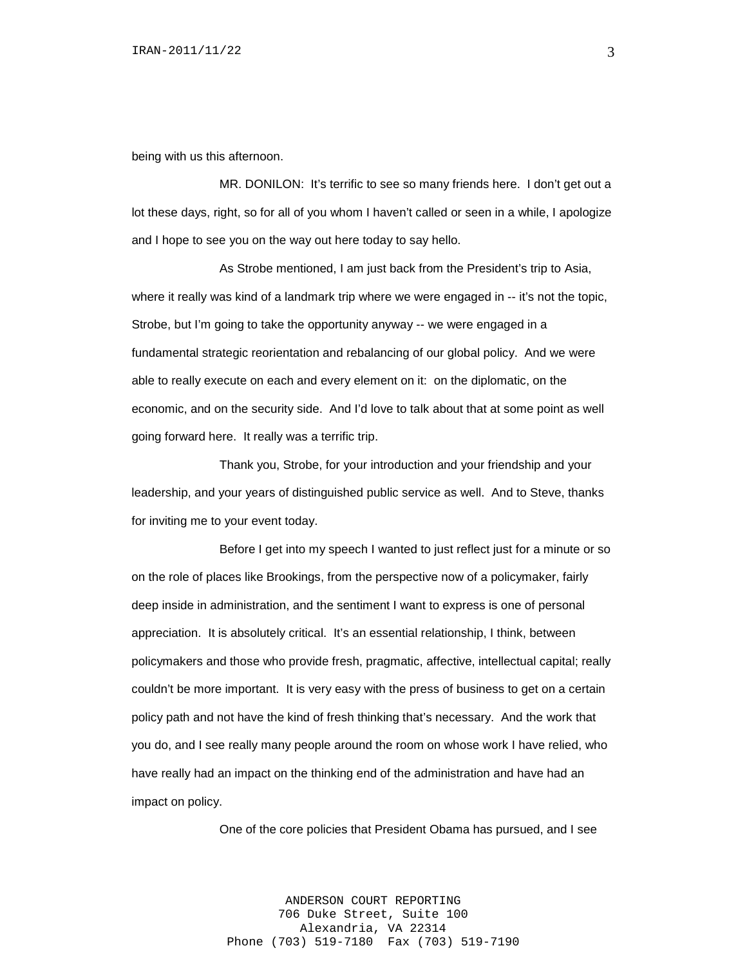being with us this afternoon.

MR. DONILON: It's terrific to see so many friends here. I don't get out a lot these days, right, so for all of you whom I haven't called or seen in a while, I apologize and I hope to see you on the way out here today to say hello.

As Strobe mentioned, I am just back from the President's trip to Asia, where it really was kind of a landmark trip where we were engaged in -- it's not the topic, Strobe, but I'm going to take the opportunity anyway -- we were engaged in a fundamental strategic reorientation and rebalancing of our global policy. And we were able to really execute on each and every element on it: on the diplomatic, on the economic, and on the security side. And I'd love to talk about that at some point as well going forward here. It really was a terrific trip.

Thank you, Strobe, for your introduction and your friendship and your leadership, and your years of distinguished public service as well. And to Steve, thanks for inviting me to your event today.

Before I get into my speech I wanted to just reflect just for a minute or so on the role of places like Brookings, from the perspective now of a policymaker, fairly deep inside in administration, and the sentiment I want to express is one of personal appreciation. It is absolutely critical. It's an essential relationship, I think, between policymakers and those who provide fresh, pragmatic, affective, intellectual capital; really couldn't be more important. It is very easy with the press of business to get on a certain policy path and not have the kind of fresh thinking that's necessary. And the work that you do, and I see really many people around the room on whose work I have relied, who have really had an impact on the thinking end of the administration and have had an impact on policy.

One of the core policies that President Obama has pursued, and I see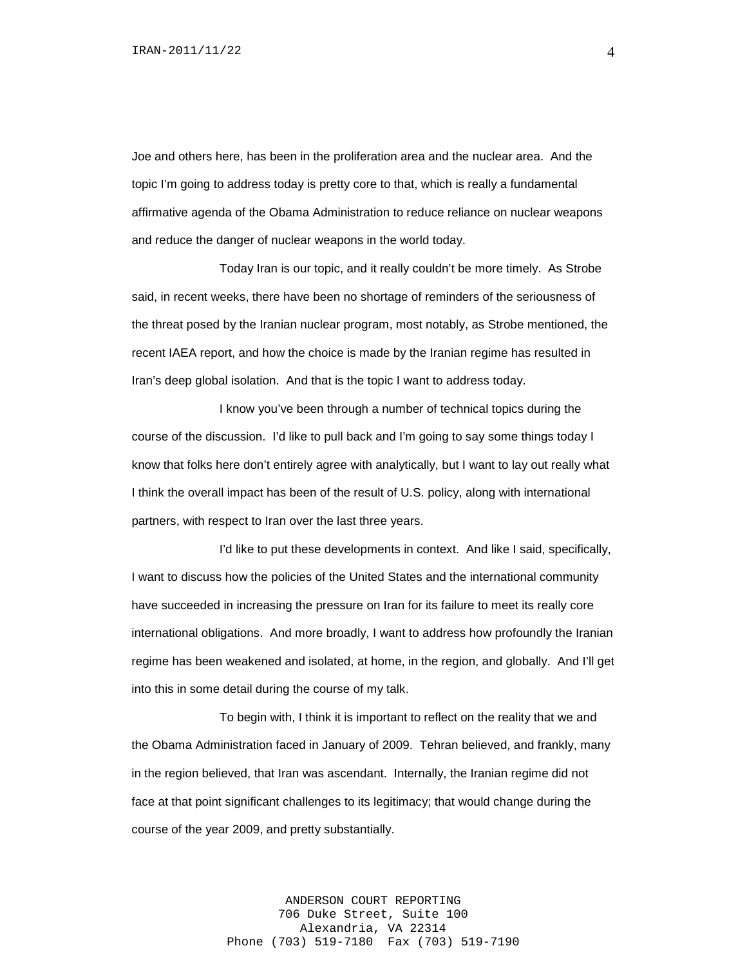Joe and others here, has been in the proliferation area and the nuclear area. And the topic I'm going to address today is pretty core to that, which is really a fundamental affirmative agenda of the Obama Administration to reduce reliance on nuclear weapons and reduce the danger of nuclear weapons in the world today.

Today Iran is our topic, and it really couldn't be more timely. As Strobe said, in recent weeks, there have been no shortage of reminders of the seriousness of the threat posed by the Iranian nuclear program, most notably, as Strobe mentioned, the recent IAEA report, and how the choice is made by the Iranian regime has resulted in Iran's deep global isolation. And that is the topic I want to address today.

I know you've been through a number of technical topics during the course of the discussion. I'd like to pull back and I'm going to say some things today I know that folks here don't entirely agree with analytically, but I want to lay out really what I think the overall impact has been of the result of U.S. policy, along with international partners, with respect to Iran over the last three years.

I'd like to put these developments in context. And like I said, specifically, I want to discuss how the policies of the United States and the international community have succeeded in increasing the pressure on Iran for its failure to meet its really core international obligations. And more broadly, I want to address how profoundly the Iranian regime has been weakened and isolated, at home, in the region, and globally. And I'll get into this in some detail during the course of my talk.

To begin with, I think it is important to reflect on the reality that we and the Obama Administration faced in January of 2009. Tehran believed, and frankly, many in the region believed, that Iran was ascendant. Internally, the Iranian regime did not face at that point significant challenges to its legitimacy; that would change during the course of the year 2009, and pretty substantially.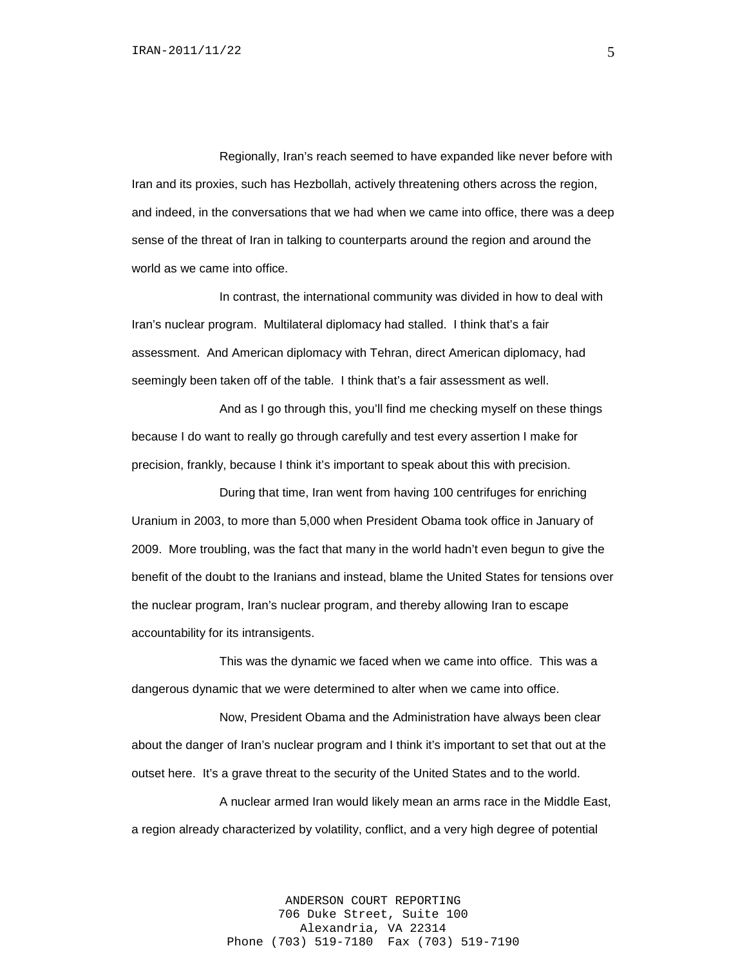Regionally, Iran's reach seemed to have expanded like never before with Iran and its proxies, such has Hezbollah, actively threatening others across the region, and indeed, in the conversations that we had when we came into office, there was a deep sense of the threat of Iran in talking to counterparts around the region and around the world as we came into office.

In contrast, the international community was divided in how to deal with Iran's nuclear program. Multilateral diplomacy had stalled. I think that's a fair assessment. And American diplomacy with Tehran, direct American diplomacy, had seemingly been taken off of the table. I think that's a fair assessment as well.

And as I go through this, you'll find me checking myself on these things because I do want to really go through carefully and test every assertion I make for precision, frankly, because I think it's important to speak about this with precision.

During that time, Iran went from having 100 centrifuges for enriching Uranium in 2003, to more than 5,000 when President Obama took office in January of 2009. More troubling, was the fact that many in the world hadn't even begun to give the benefit of the doubt to the Iranians and instead, blame the United States for tensions over the nuclear program, Iran's nuclear program, and thereby allowing Iran to escape accountability for its intransigents.

This was the dynamic we faced when we came into office. This was a dangerous dynamic that we were determined to alter when we came into office.

Now, President Obama and the Administration have always been clear about the danger of Iran's nuclear program and I think it's important to set that out at the outset here. It's a grave threat to the security of the United States and to the world.

A nuclear armed Iran would likely mean an arms race in the Middle East, a region already characterized by volatility, conflict, and a very high degree of potential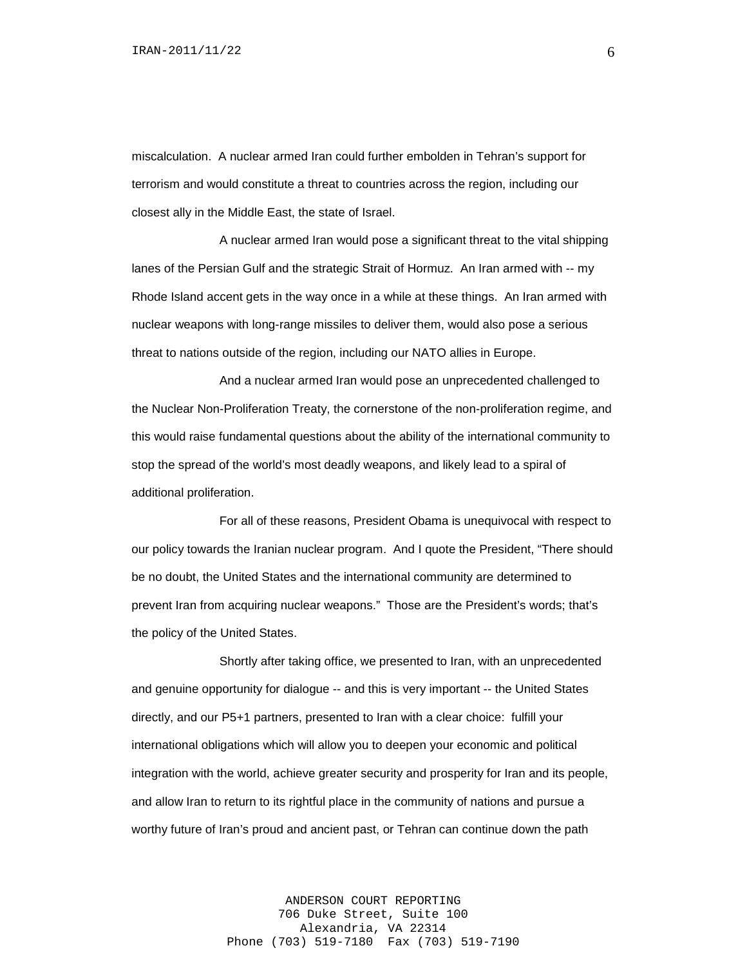miscalculation. A nuclear armed Iran could further embolden in Tehran's support for terrorism and would constitute a threat to countries across the region, including our closest ally in the Middle East, the state of Israel.

A nuclear armed Iran would pose a significant threat to the vital shipping lanes of the Persian Gulf and the strategic Strait of Hormuz. An Iran armed with -- my Rhode Island accent gets in the way once in a while at these things. An Iran armed with nuclear weapons with long-range missiles to deliver them, would also pose a serious threat to nations outside of the region, including our NATO allies in Europe.

And a nuclear armed Iran would pose an unprecedented challenged to the Nuclear Non-Proliferation Treaty, the cornerstone of the non-proliferation regime, and this would raise fundamental questions about the ability of the international community to stop the spread of the world's most deadly weapons, and likely lead to a spiral of additional proliferation.

For all of these reasons, President Obama is unequivocal with respect to our policy towards the Iranian nuclear program. And I quote the President, "There should be no doubt, the United States and the international community are determined to prevent Iran from acquiring nuclear weapons." Those are the President's words; that's the policy of the United States.

Shortly after taking office, we presented to Iran, with an unprecedented and genuine opportunity for dialogue -- and this is very important -- the United States directly, and our P5+1 partners, presented to Iran with a clear choice: fulfill your international obligations which will allow you to deepen your economic and political integration with the world, achieve greater security and prosperity for Iran and its people, and allow Iran to return to its rightful place in the community of nations and pursue a worthy future of Iran's proud and ancient past, or Tehran can continue down the path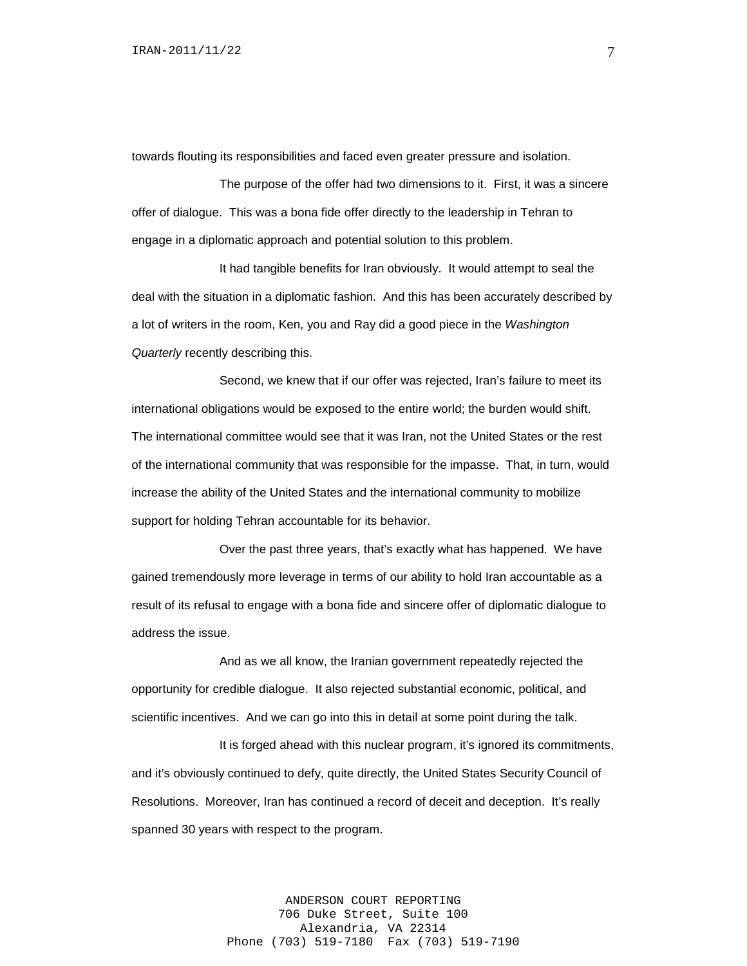towards flouting its responsibilities and faced even greater pressure and isolation.

The purpose of the offer had two dimensions to it. First, it was a sincere offer of dialogue. This was a bona fide offer directly to the leadership in Tehran to engage in a diplomatic approach and potential solution to this problem.

It had tangible benefits for Iran obviously. It would attempt to seal the deal with the situation in a diplomatic fashion. And this has been accurately described by a lot of writers in the room, Ken, you and Ray did a good piece in the *Washington Quarterly* recently describing this.

Second, we knew that if our offer was rejected, Iran's failure to meet its international obligations would be exposed to the entire world; the burden would shift. The international committee would see that it was Iran, not the United States or the rest of the international community that was responsible for the impasse. That, in turn, would increase the ability of the United States and the international community to mobilize support for holding Tehran accountable for its behavior.

Over the past three years, that's exactly what has happened. We have gained tremendously more leverage in terms of our ability to hold Iran accountable as a result of its refusal to engage with a bona fide and sincere offer of diplomatic dialogue to address the issue.

And as we all know, the Iranian government repeatedly rejected the opportunity for credible dialogue. It also rejected substantial economic, political, and scientific incentives. And we can go into this in detail at some point during the talk.

It is forged ahead with this nuclear program, it's ignored its commitments, and it's obviously continued to defy, quite directly, the United States Security Council of Resolutions. Moreover, Iran has continued a record of deceit and deception. It's really spanned 30 years with respect to the program.

> ANDERSON COURT REPORTING 706 Duke Street, Suite 100 Alexandria, VA 22314 Phone (703) 519-7180 Fax (703) 519-7190

7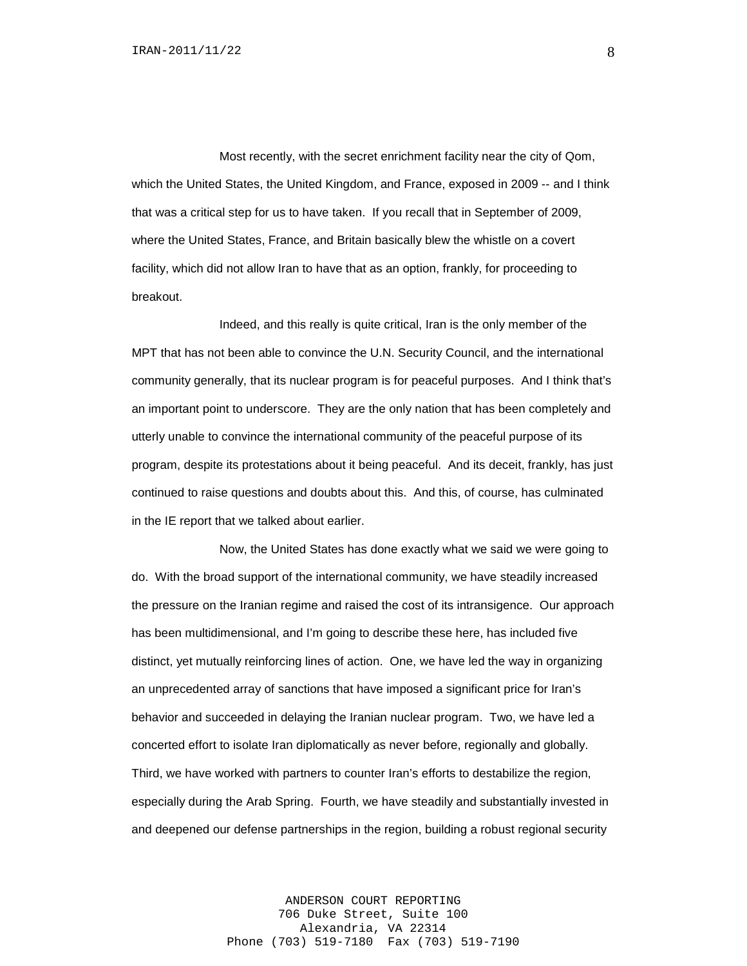Most recently, with the secret enrichment facility near the city of Qom, which the United States, the United Kingdom, and France, exposed in 2009 -- and I think that was a critical step for us to have taken. If you recall that in September of 2009, where the United States, France, and Britain basically blew the whistle on a covert facility, which did not allow Iran to have that as an option, frankly, for proceeding to breakout.

Indeed, and this really is quite critical, Iran is the only member of the MPT that has not been able to convince the U.N. Security Council, and the international community generally, that its nuclear program is for peaceful purposes. And I think that's an important point to underscore. They are the only nation that has been completely and utterly unable to convince the international community of the peaceful purpose of its program, despite its protestations about it being peaceful. And its deceit, frankly, has just continued to raise questions and doubts about this. And this, of course, has culminated in the IE report that we talked about earlier.

Now, the United States has done exactly what we said we were going to do. With the broad support of the international community, we have steadily increased the pressure on the Iranian regime and raised the cost of its intransigence. Our approach has been multidimensional, and I'm going to describe these here, has included five distinct, yet mutually reinforcing lines of action. One, we have led the way in organizing an unprecedented array of sanctions that have imposed a significant price for Iran's behavior and succeeded in delaying the Iranian nuclear program. Two, we have led a concerted effort to isolate Iran diplomatically as never before, regionally and globally. Third, we have worked with partners to counter Iran's efforts to destabilize the region, especially during the Arab Spring. Fourth, we have steadily and substantially invested in and deepened our defense partnerships in the region, building a robust regional security

> ANDERSON COURT REPORTING 706 Duke Street, Suite 100 Alexandria, VA 22314 Phone (703) 519-7180 Fax (703) 519-7190

8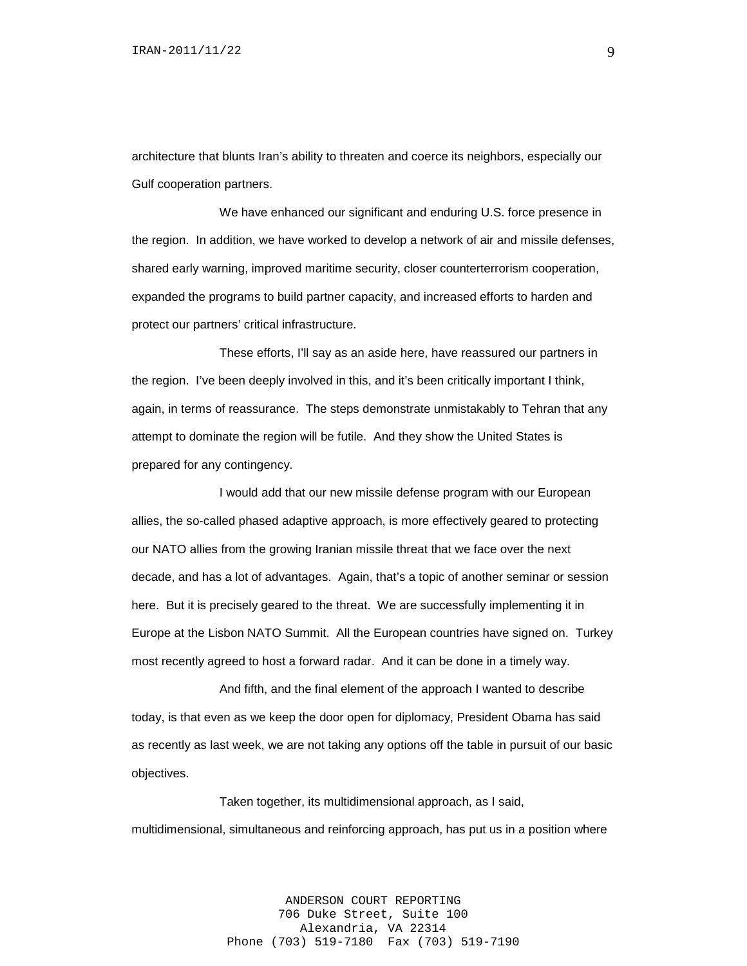architecture that blunts Iran's ability to threaten and coerce its neighbors, especially our Gulf cooperation partners.

We have enhanced our significant and enduring U.S. force presence in the region. In addition, we have worked to develop a network of air and missile defenses, shared early warning, improved maritime security, closer counterterrorism cooperation, expanded the programs to build partner capacity, and increased efforts to harden and protect our partners' critical infrastructure.

These efforts, I'll say as an aside here, have reassured our partners in the region. I've been deeply involved in this, and it's been critically important I think, again, in terms of reassurance. The steps demonstrate unmistakably to Tehran that any attempt to dominate the region will be futile. And they show the United States is prepared for any contingency.

I would add that our new missile defense program with our European allies, the so-called phased adaptive approach, is more effectively geared to protecting our NATO allies from the growing Iranian missile threat that we face over the next decade, and has a lot of advantages. Again, that's a topic of another seminar or session here. But it is precisely geared to the threat. We are successfully implementing it in Europe at the Lisbon NATO Summit. All the European countries have signed on. Turkey most recently agreed to host a forward radar. And it can be done in a timely way.

And fifth, and the final element of the approach I wanted to describe today, is that even as we keep the door open for diplomacy, President Obama has said as recently as last week, we are not taking any options off the table in pursuit of our basic objectives.

Taken together, its multidimensional approach, as I said, multidimensional, simultaneous and reinforcing approach, has put us in a position where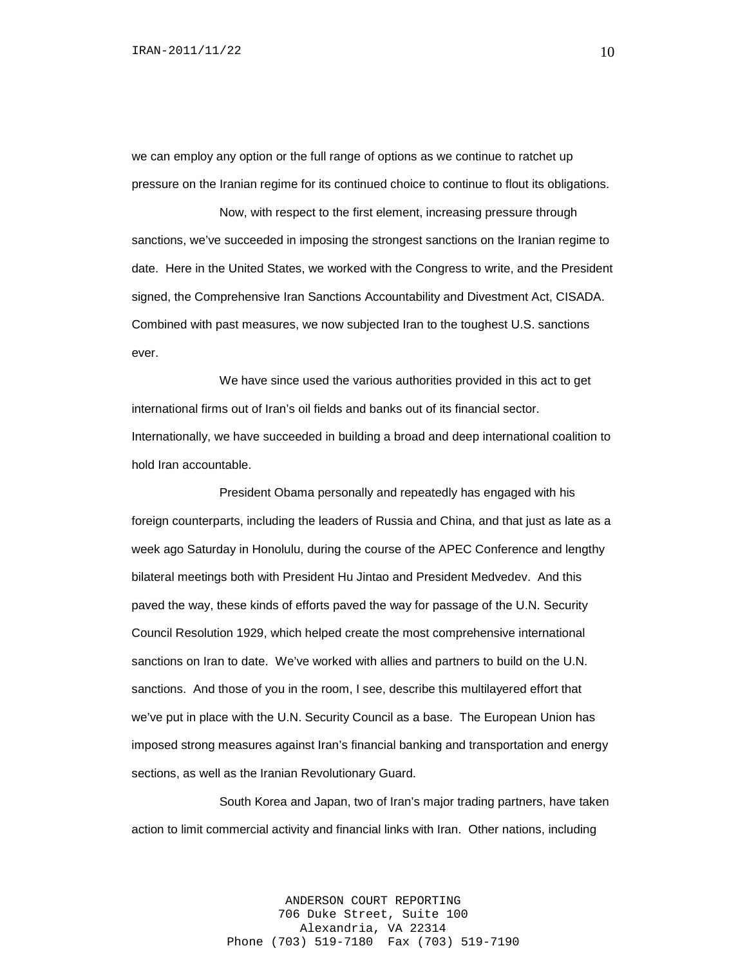we can employ any option or the full range of options as we continue to ratchet up pressure on the Iranian regime for its continued choice to continue to flout its obligations.

Now, with respect to the first element, increasing pressure through sanctions, we've succeeded in imposing the strongest sanctions on the Iranian regime to date. Here in the United States, we worked with the Congress to write, and the President signed, the Comprehensive Iran Sanctions Accountability and Divestment Act, CISADA. Combined with past measures, we now subjected Iran to the toughest U.S. sanctions ever.

We have since used the various authorities provided in this act to get international firms out of Iran's oil fields and banks out of its financial sector. Internationally, we have succeeded in building a broad and deep international coalition to hold Iran accountable.

President Obama personally and repeatedly has engaged with his foreign counterparts, including the leaders of Russia and China, and that just as late as a week ago Saturday in Honolulu, during the course of the APEC Conference and lengthy bilateral meetings both with President Hu Jintao and President Medvedev. And this paved the way, these kinds of efforts paved the way for passage of the U.N. Security Council Resolution 1929, which helped create the most comprehensive international sanctions on Iran to date. We've worked with allies and partners to build on the U.N. sanctions. And those of you in the room, I see, describe this multilayered effort that we've put in place with the U.N. Security Council as a base. The European Union has imposed strong measures against Iran's financial banking and transportation and energy sections, as well as the Iranian Revolutionary Guard.

South Korea and Japan, two of Iran's major trading partners, have taken action to limit commercial activity and financial links with Iran. Other nations, including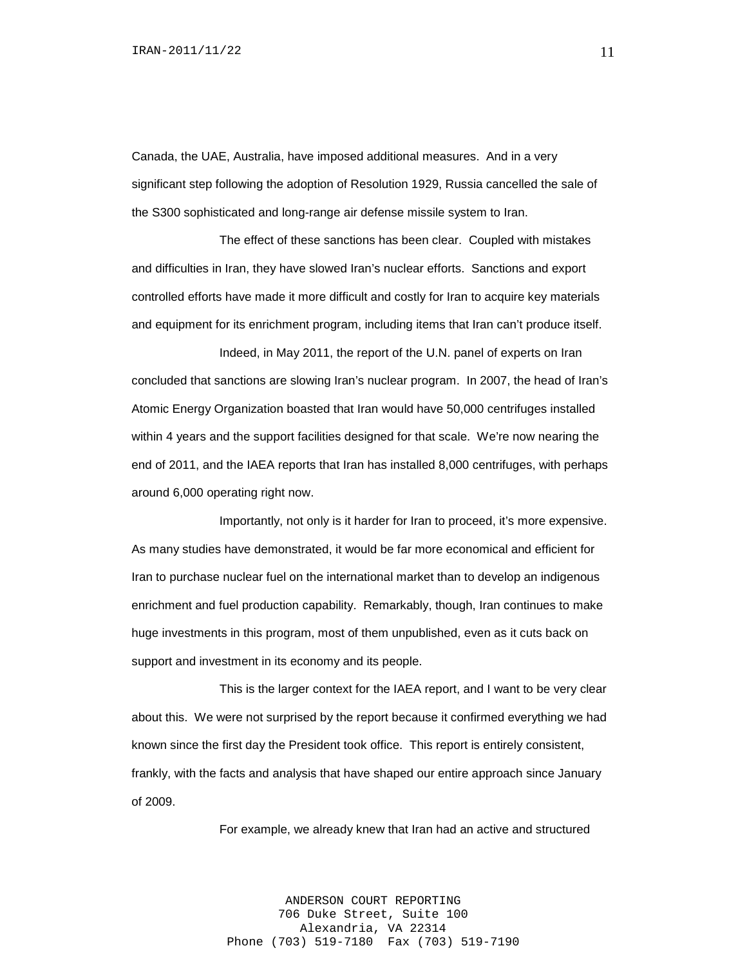Canada, the UAE, Australia, have imposed additional measures. And in a very significant step following the adoption of Resolution 1929, Russia cancelled the sale of the S300 sophisticated and long-range air defense missile system to Iran.

The effect of these sanctions has been clear. Coupled with mistakes and difficulties in Iran, they have slowed Iran's nuclear efforts. Sanctions and export controlled efforts have made it more difficult and costly for Iran to acquire key materials and equipment for its enrichment program, including items that Iran can't produce itself.

Indeed, in May 2011, the report of the U.N. panel of experts on Iran concluded that sanctions are slowing Iran's nuclear program. In 2007, the head of Iran's Atomic Energy Organization boasted that Iran would have 50,000 centrifuges installed within 4 years and the support facilities designed for that scale. We're now nearing the end of 2011, and the IAEA reports that Iran has installed 8,000 centrifuges, with perhaps around 6,000 operating right now.

Importantly, not only is it harder for Iran to proceed, it's more expensive. As many studies have demonstrated, it would be far more economical and efficient for Iran to purchase nuclear fuel on the international market than to develop an indigenous enrichment and fuel production capability. Remarkably, though, Iran continues to make huge investments in this program, most of them unpublished, even as it cuts back on support and investment in its economy and its people.

This is the larger context for the IAEA report, and I want to be very clear about this. We were not surprised by the report because it confirmed everything we had known since the first day the President took office. This report is entirely consistent, frankly, with the facts and analysis that have shaped our entire approach since January of 2009.

For example, we already knew that Iran had an active and structured

ANDERSON COURT REPORTING 706 Duke Street, Suite 100 Alexandria, VA 22314 Phone (703) 519-7180 Fax (703) 519-7190 11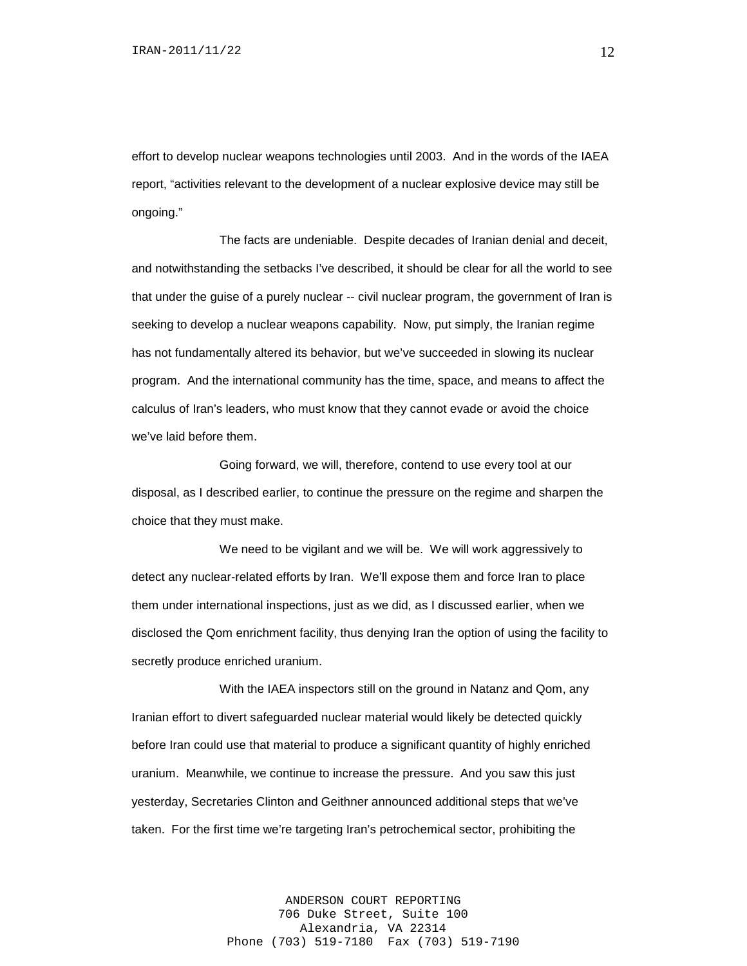effort to develop nuclear weapons technologies until 2003. And in the words of the IAEA report, "activities relevant to the development of a nuclear explosive device may still be ongoing."

The facts are undeniable. Despite decades of Iranian denial and deceit, and notwithstanding the setbacks I've described, it should be clear for all the world to see that under the guise of a purely nuclear -- civil nuclear program, the government of Iran is seeking to develop a nuclear weapons capability. Now, put simply, the Iranian regime has not fundamentally altered its behavior, but we've succeeded in slowing its nuclear program. And the international community has the time, space, and means to affect the calculus of Iran's leaders, who must know that they cannot evade or avoid the choice we've laid before them.

Going forward, we will, therefore, contend to use every tool at our disposal, as I described earlier, to continue the pressure on the regime and sharpen the choice that they must make.

We need to be vigilant and we will be. We will work aggressively to detect any nuclear-related efforts by Iran. We'll expose them and force Iran to place them under international inspections, just as we did, as I discussed earlier, when we disclosed the Qom enrichment facility, thus denying Iran the option of using the facility to secretly produce enriched uranium.

With the IAEA inspectors still on the ground in Natanz and Qom, any Iranian effort to divert safeguarded nuclear material would likely be detected quickly before Iran could use that material to produce a significant quantity of highly enriched uranium. Meanwhile, we continue to increase the pressure. And you saw this just yesterday, Secretaries Clinton and Geithner announced additional steps that we've taken. For the first time we're targeting Iran's petrochemical sector, prohibiting the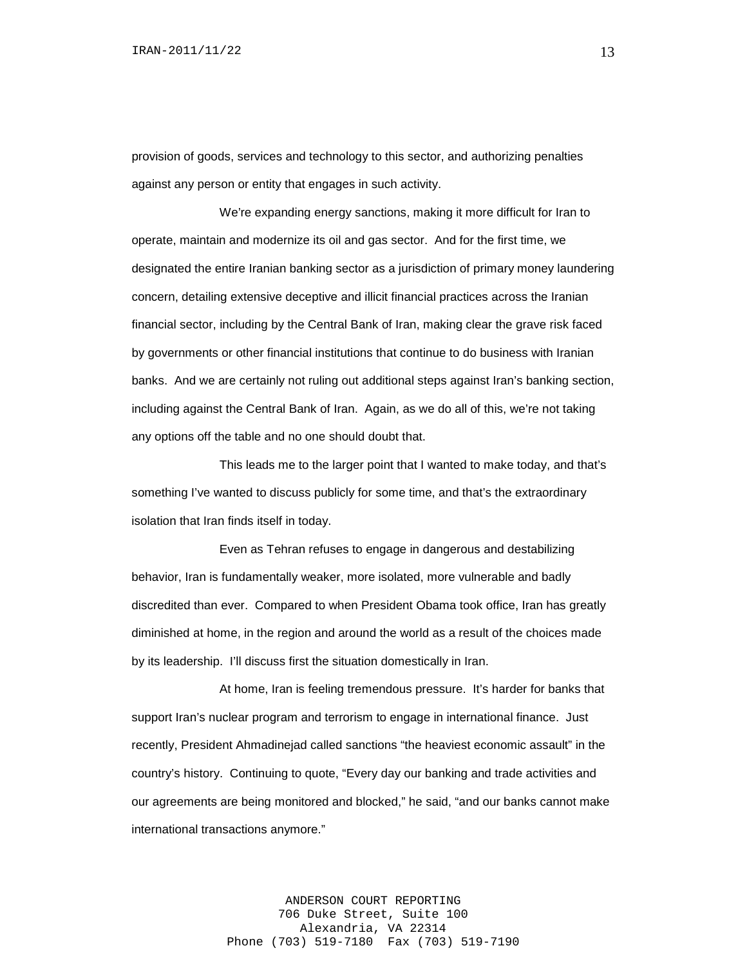provision of goods, services and technology to this sector, and authorizing penalties against any person or entity that engages in such activity.

We're expanding energy sanctions, making it more difficult for Iran to operate, maintain and modernize its oil and gas sector. And for the first time, we designated the entire Iranian banking sector as a jurisdiction of primary money laundering concern, detailing extensive deceptive and illicit financial practices across the Iranian financial sector, including by the Central Bank of Iran, making clear the grave risk faced by governments or other financial institutions that continue to do business with Iranian banks. And we are certainly not ruling out additional steps against Iran's banking section, including against the Central Bank of Iran. Again, as we do all of this, we're not taking any options off the table and no one should doubt that.

This leads me to the larger point that I wanted to make today, and that's something I've wanted to discuss publicly for some time, and that's the extraordinary isolation that Iran finds itself in today.

Even as Tehran refuses to engage in dangerous and destabilizing behavior, Iran is fundamentally weaker, more isolated, more vulnerable and badly discredited than ever. Compared to when President Obama took office, Iran has greatly diminished at home, in the region and around the world as a result of the choices made by its leadership. I'll discuss first the situation domestically in Iran.

At home, Iran is feeling tremendous pressure. It's harder for banks that support Iran's nuclear program and terrorism to engage in international finance. Just recently, President Ahmadinejad called sanctions "the heaviest economic assault" in the country's history. Continuing to quote, "Every day our banking and trade activities and our agreements are being monitored and blocked," he said, "and our banks cannot make international transactions anymore."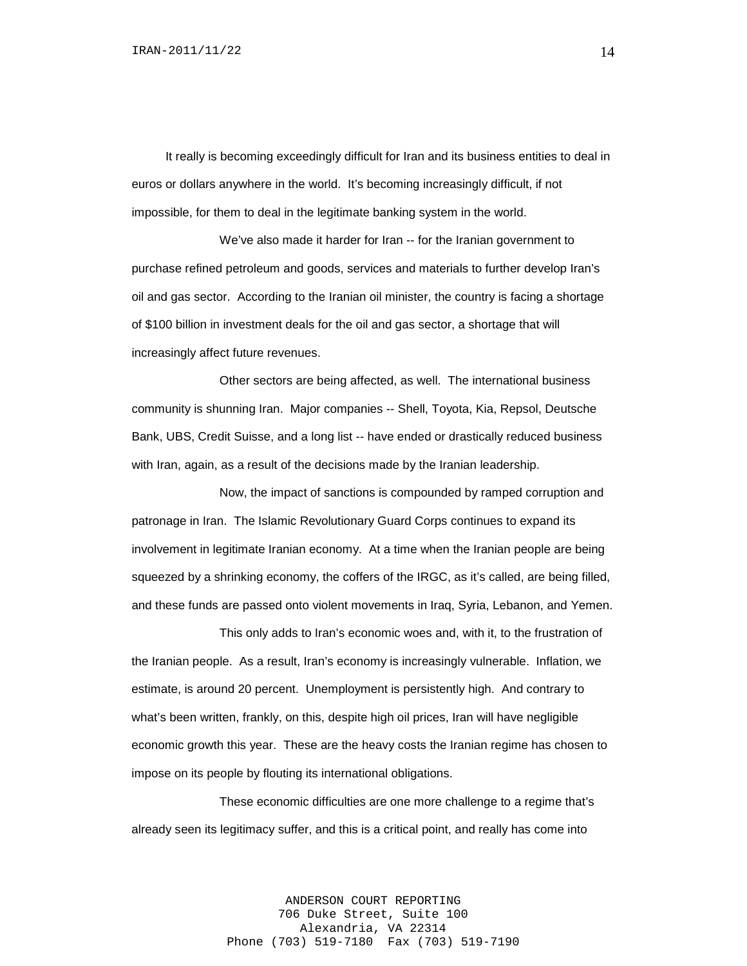It really is becoming exceedingly difficult for Iran and its business entities to deal in euros or dollars anywhere in the world. It's becoming increasingly difficult, if not impossible, for them to deal in the legitimate banking system in the world.

We've also made it harder for Iran -- for the Iranian government to purchase refined petroleum and goods, services and materials to further develop Iran's oil and gas sector. According to the Iranian oil minister, the country is facing a shortage of \$100 billion in investment deals for the oil and gas sector, a shortage that will increasingly affect future revenues.

Other sectors are being affected, as well. The international business community is shunning Iran. Major companies -- Shell, Toyota, Kia, Repsol, Deutsche Bank, UBS, Credit Suisse, and a long list -- have ended or drastically reduced business with Iran, again, as a result of the decisions made by the Iranian leadership.

Now, the impact of sanctions is compounded by ramped corruption and patronage in Iran. The Islamic Revolutionary Guard Corps continues to expand its involvement in legitimate Iranian economy. At a time when the Iranian people are being squeezed by a shrinking economy, the coffers of the IRGC, as it's called, are being filled, and these funds are passed onto violent movements in Iraq, Syria, Lebanon, and Yemen.

This only adds to Iran's economic woes and, with it, to the frustration of the Iranian people. As a result, Iran's economy is increasingly vulnerable. Inflation, we estimate, is around 20 percent. Unemployment is persistently high. And contrary to what's been written, frankly, on this, despite high oil prices, Iran will have negligible economic growth this year. These are the heavy costs the Iranian regime has chosen to impose on its people by flouting its international obligations.

These economic difficulties are one more challenge to a regime that's already seen its legitimacy suffer, and this is a critical point, and really has come into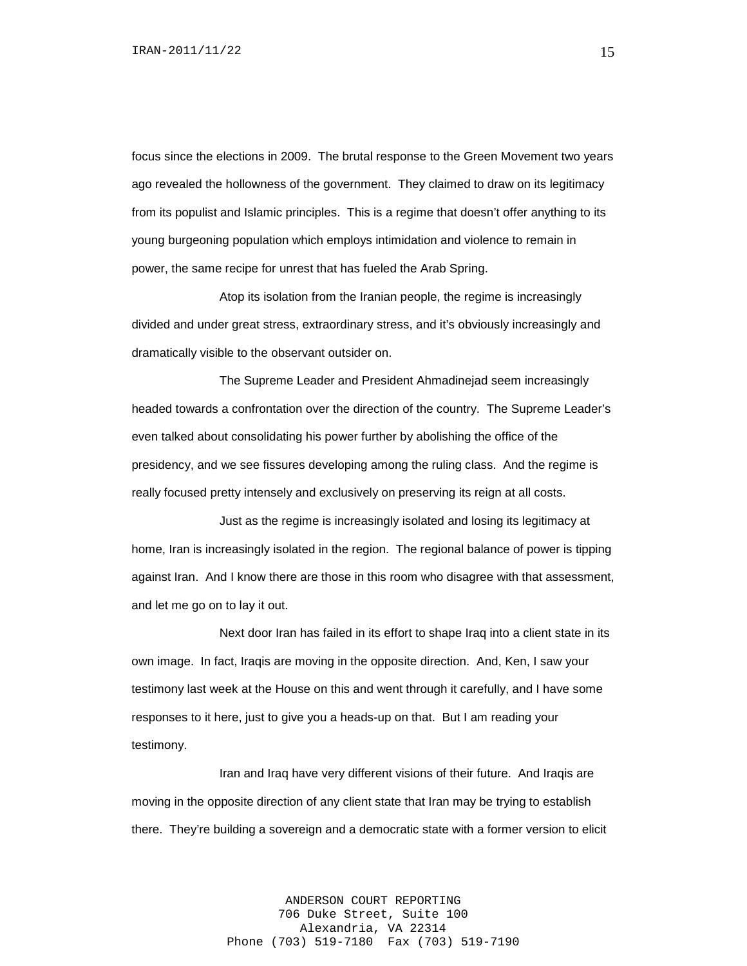focus since the elections in 2009. The brutal response to the Green Movement two years ago revealed the hollowness of the government. They claimed to draw on its legitimacy from its populist and Islamic principles. This is a regime that doesn't offer anything to its young burgeoning population which employs intimidation and violence to remain in power, the same recipe for unrest that has fueled the Arab Spring.

Atop its isolation from the Iranian people, the regime is increasingly divided and under great stress, extraordinary stress, and it's obviously increasingly and dramatically visible to the observant outsider on.

The Supreme Leader and President Ahmadinejad seem increasingly headed towards a confrontation over the direction of the country. The Supreme Leader's even talked about consolidating his power further by abolishing the office of the presidency, and we see fissures developing among the ruling class. And the regime is really focused pretty intensely and exclusively on preserving its reign at all costs.

Just as the regime is increasingly isolated and losing its legitimacy at home, Iran is increasingly isolated in the region. The regional balance of power is tipping against Iran. And I know there are those in this room who disagree with that assessment, and let me go on to lay it out.

Next door Iran has failed in its effort to shape Iraq into a client state in its own image. In fact, Iraqis are moving in the opposite direction. And, Ken, I saw your testimony last week at the House on this and went through it carefully, and I have some responses to it here, just to give you a heads-up on that. But I am reading your testimony.

Iran and Iraq have very different visions of their future. And Iraqis are moving in the opposite direction of any client state that Iran may be trying to establish there. They're building a sovereign and a democratic state with a former version to elicit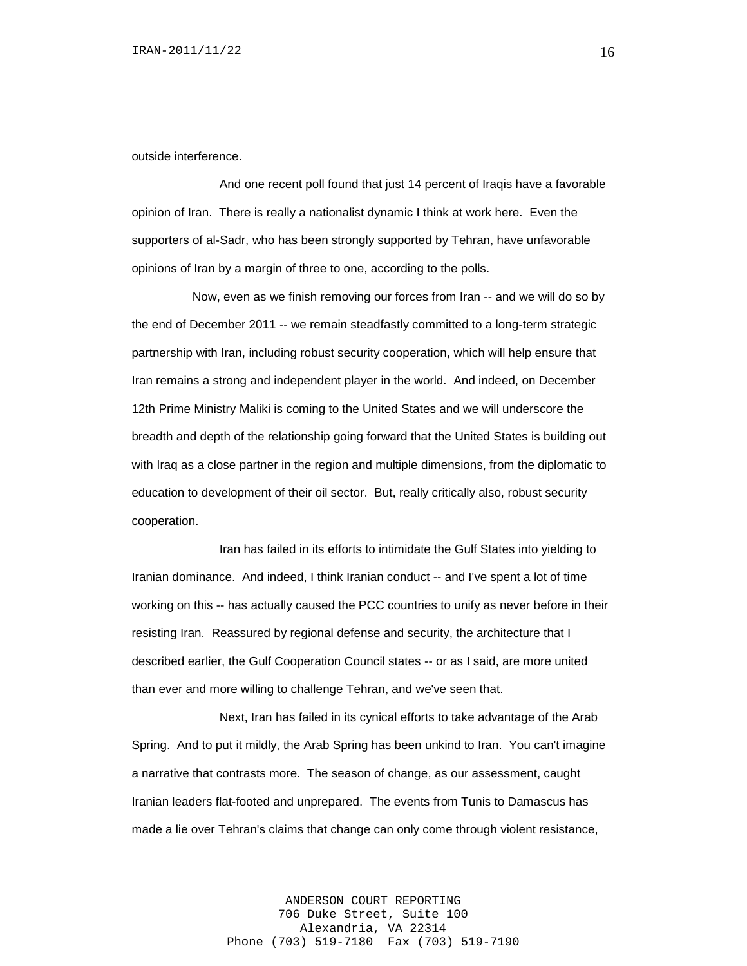outside interference.

And one recent poll found that just 14 percent of Iraqis have a favorable opinion of Iran. There is really a nationalist dynamic I think at work here. Even the supporters of al-Sadr, who has been strongly supported by Tehran, have unfavorable opinions of Iran by a margin of three to one, according to the polls.

 Now, even as we finish removing our forces from Iran -- and we will do so by the end of December 2011 -- we remain steadfastly committed to a long-term strategic partnership with Iran, including robust security cooperation, which will help ensure that Iran remains a strong and independent player in the world. And indeed, on December 12th Prime Ministry Maliki is coming to the United States and we will underscore the breadth and depth of the relationship going forward that the United States is building out with Iraq as a close partner in the region and multiple dimensions, from the diplomatic to education to development of their oil sector. But, really critically also, robust security cooperation.

Iran has failed in its efforts to intimidate the Gulf States into yielding to Iranian dominance. And indeed, I think Iranian conduct -- and I've spent a lot of time working on this -- has actually caused the PCC countries to unify as never before in their resisting Iran. Reassured by regional defense and security, the architecture that I described earlier, the Gulf Cooperation Council states -- or as I said, are more united than ever and more willing to challenge Tehran, and we've seen that.

Next, Iran has failed in its cynical efforts to take advantage of the Arab Spring. And to put it mildly, the Arab Spring has been unkind to Iran. You can't imagine a narrative that contrasts more. The season of change, as our assessment, caught Iranian leaders flat-footed and unprepared. The events from Tunis to Damascus has made a lie over Tehran's claims that change can only come through violent resistance,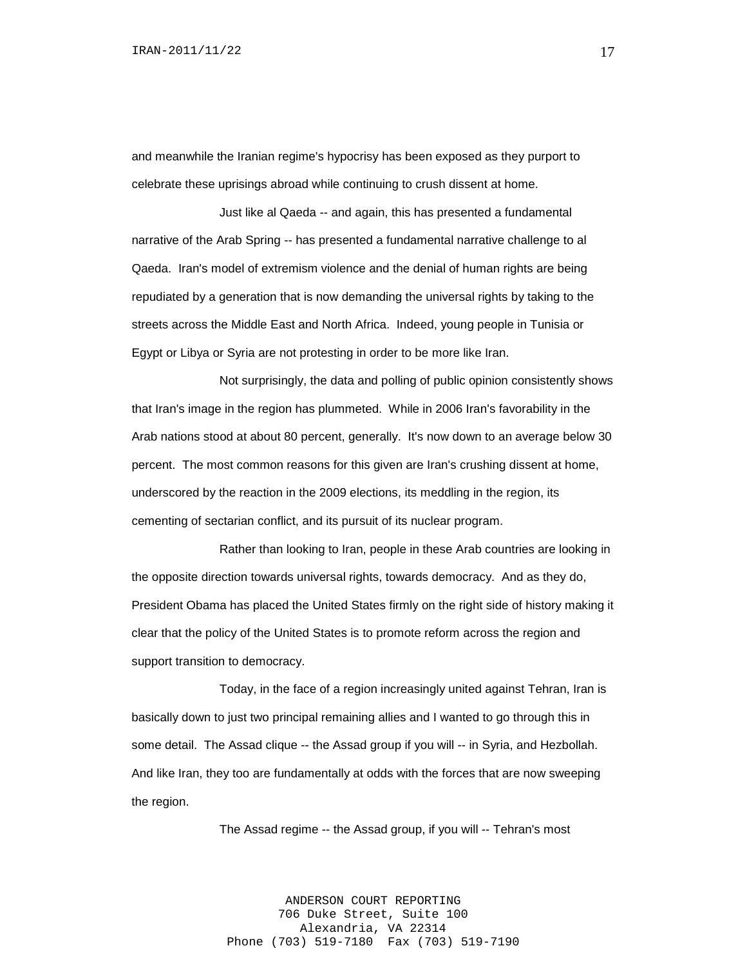and meanwhile the Iranian regime's hypocrisy has been exposed as they purport to celebrate these uprisings abroad while continuing to crush dissent at home.

Just like al Qaeda -- and again, this has presented a fundamental narrative of the Arab Spring -- has presented a fundamental narrative challenge to al Qaeda. Iran's model of extremism violence and the denial of human rights are being repudiated by a generation that is now demanding the universal rights by taking to the streets across the Middle East and North Africa. Indeed, young people in Tunisia or Egypt or Libya or Syria are not protesting in order to be more like Iran.

Not surprisingly, the data and polling of public opinion consistently shows that Iran's image in the region has plummeted. While in 2006 Iran's favorability in the Arab nations stood at about 80 percent, generally. It's now down to an average below 30 percent. The most common reasons for this given are Iran's crushing dissent at home, underscored by the reaction in the 2009 elections, its meddling in the region, its cementing of sectarian conflict, and its pursuit of its nuclear program.

Rather than looking to Iran, people in these Arab countries are looking in the opposite direction towards universal rights, towards democracy. And as they do, President Obama has placed the United States firmly on the right side of history making it clear that the policy of the United States is to promote reform across the region and support transition to democracy.

Today, in the face of a region increasingly united against Tehran, Iran is basically down to just two principal remaining allies and I wanted to go through this in some detail. The Assad clique -- the Assad group if you will -- in Syria, and Hezbollah. And like Iran, they too are fundamentally at odds with the forces that are now sweeping the region.

The Assad regime -- the Assad group, if you will -- Tehran's most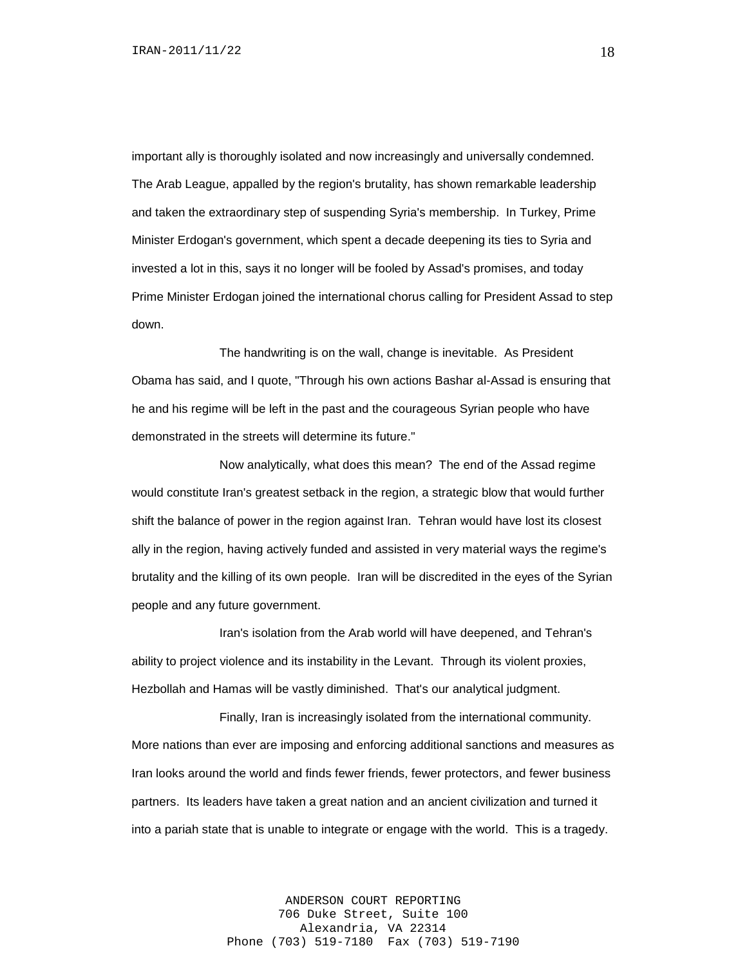important ally is thoroughly isolated and now increasingly and universally condemned. The Arab League, appalled by the region's brutality, has shown remarkable leadership and taken the extraordinary step of suspending Syria's membership. In Turkey, Prime Minister Erdogan's government, which spent a decade deepening its ties to Syria and invested a lot in this, says it no longer will be fooled by Assad's promises, and today Prime Minister Erdogan joined the international chorus calling for President Assad to step down.

The handwriting is on the wall, change is inevitable. As President Obama has said, and I quote, "Through his own actions Bashar al-Assad is ensuring that he and his regime will be left in the past and the courageous Syrian people who have demonstrated in the streets will determine its future."

Now analytically, what does this mean? The end of the Assad regime would constitute Iran's greatest setback in the region, a strategic blow that would further shift the balance of power in the region against Iran. Tehran would have lost its closest ally in the region, having actively funded and assisted in very material ways the regime's brutality and the killing of its own people. Iran will be discredited in the eyes of the Syrian people and any future government.

Iran's isolation from the Arab world will have deepened, and Tehran's ability to project violence and its instability in the Levant. Through its violent proxies, Hezbollah and Hamas will be vastly diminished. That's our analytical judgment.

Finally, Iran is increasingly isolated from the international community. More nations than ever are imposing and enforcing additional sanctions and measures as Iran looks around the world and finds fewer friends, fewer protectors, and fewer business partners. Its leaders have taken a great nation and an ancient civilization and turned it into a pariah state that is unable to integrate or engage with the world. This is a tragedy.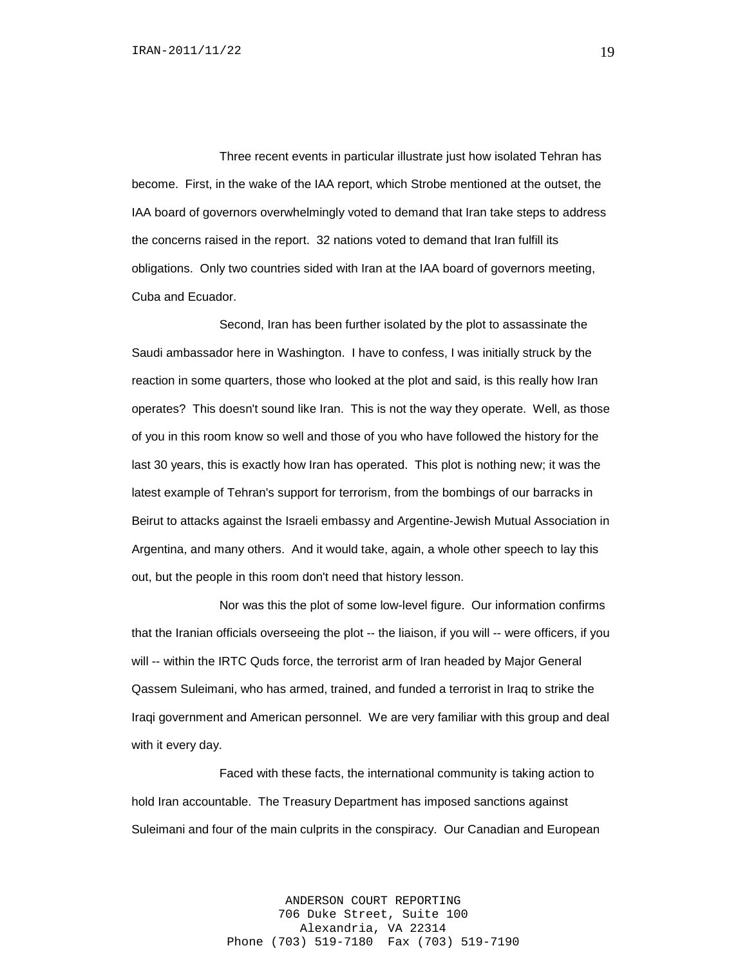Three recent events in particular illustrate just how isolated Tehran has become. First, in the wake of the IAA report, which Strobe mentioned at the outset, the IAA board of governors overwhelmingly voted to demand that Iran take steps to address the concerns raised in the report. 32 nations voted to demand that Iran fulfill its obligations. Only two countries sided with Iran at the IAA board of governors meeting, Cuba and Ecuador.

Second, Iran has been further isolated by the plot to assassinate the Saudi ambassador here in Washington. I have to confess, I was initially struck by the reaction in some quarters, those who looked at the plot and said, is this really how Iran operates? This doesn't sound like Iran. This is not the way they operate. Well, as those of you in this room know so well and those of you who have followed the history for the last 30 years, this is exactly how Iran has operated. This plot is nothing new; it was the latest example of Tehran's support for terrorism, from the bombings of our barracks in Beirut to attacks against the Israeli embassy and Argentine-Jewish Mutual Association in Argentina, and many others. And it would take, again, a whole other speech to lay this out, but the people in this room don't need that history lesson.

Nor was this the plot of some low-level figure. Our information confirms that the Iranian officials overseeing the plot -- the liaison, if you will -- were officers, if you will -- within the IRTC Quds force, the terrorist arm of Iran headed by Major General Qassem Suleimani, who has armed, trained, and funded a terrorist in Iraq to strike the Iraqi government and American personnel. We are very familiar with this group and deal with it every day.

Faced with these facts, the international community is taking action to hold Iran accountable. The Treasury Department has imposed sanctions against Suleimani and four of the main culprits in the conspiracy. Our Canadian and European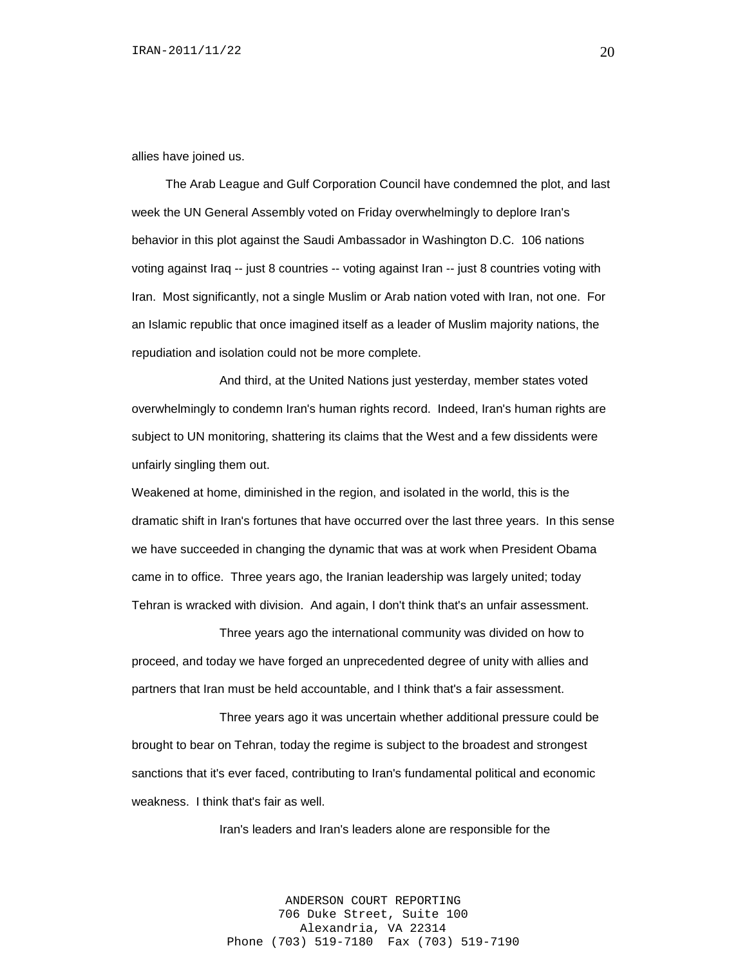allies have joined us.

 The Arab League and Gulf Corporation Council have condemned the plot, and last week the UN General Assembly voted on Friday overwhelmingly to deplore Iran's behavior in this plot against the Saudi Ambassador in Washington D.C. 106 nations voting against Iraq -- just 8 countries -- voting against Iran -- just 8 countries voting with Iran. Most significantly, not a single Muslim or Arab nation voted with Iran, not one. For an Islamic republic that once imagined itself as a leader of Muslim majority nations, the repudiation and isolation could not be more complete.

And third, at the United Nations just yesterday, member states voted overwhelmingly to condemn Iran's human rights record. Indeed, Iran's human rights are subject to UN monitoring, shattering its claims that the West and a few dissidents were unfairly singling them out.

Weakened at home, diminished in the region, and isolated in the world, this is the dramatic shift in Iran's fortunes that have occurred over the last three years. In this sense we have succeeded in changing the dynamic that was at work when President Obama came in to office. Three years ago, the Iranian leadership was largely united; today Tehran is wracked with division. And again, I don't think that's an unfair assessment.

Three years ago the international community was divided on how to proceed, and today we have forged an unprecedented degree of unity with allies and partners that Iran must be held accountable, and I think that's a fair assessment.

Three years ago it was uncertain whether additional pressure could be brought to bear on Tehran, today the regime is subject to the broadest and strongest sanctions that it's ever faced, contributing to Iran's fundamental political and economic weakness. I think that's fair as well.

Iran's leaders and Iran's leaders alone are responsible for the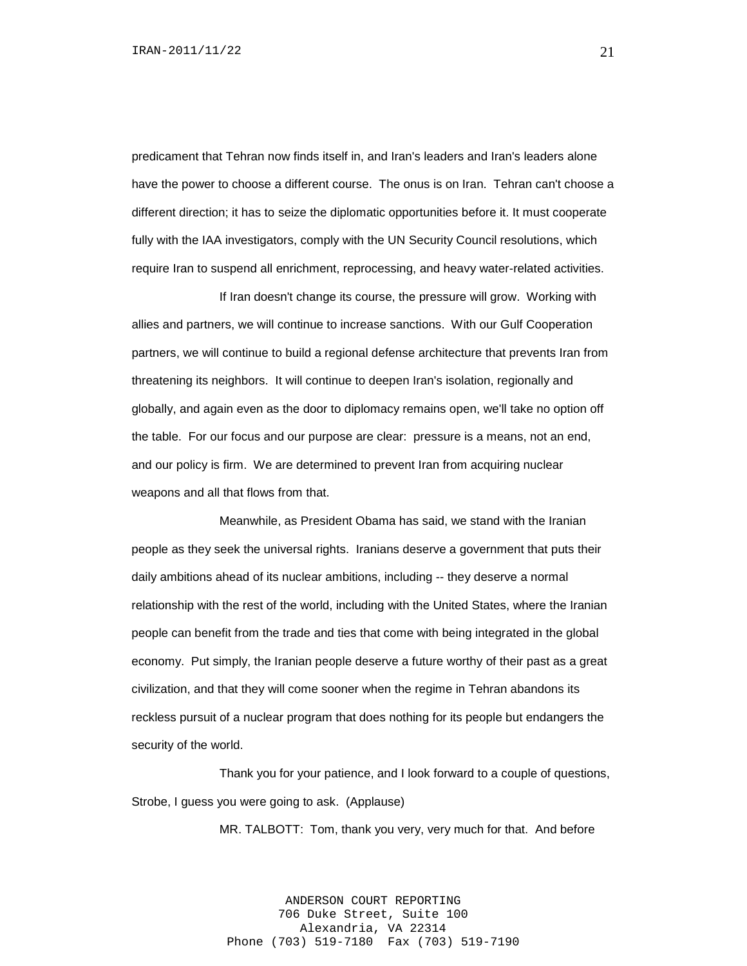predicament that Tehran now finds itself in, and Iran's leaders and Iran's leaders alone have the power to choose a different course. The onus is on Iran. Tehran can't choose a different direction; it has to seize the diplomatic opportunities before it. It must cooperate fully with the IAA investigators, comply with the UN Security Council resolutions, which require Iran to suspend all enrichment, reprocessing, and heavy water-related activities.

If Iran doesn't change its course, the pressure will grow. Working with allies and partners, we will continue to increase sanctions. With our Gulf Cooperation partners, we will continue to build a regional defense architecture that prevents Iran from threatening its neighbors. It will continue to deepen Iran's isolation, regionally and globally, and again even as the door to diplomacy remains open, we'll take no option off the table. For our focus and our purpose are clear: pressure is a means, not an end, and our policy is firm. We are determined to prevent Iran from acquiring nuclear weapons and all that flows from that.

Meanwhile, as President Obama has said, we stand with the Iranian people as they seek the universal rights. Iranians deserve a government that puts their daily ambitions ahead of its nuclear ambitions, including -- they deserve a normal relationship with the rest of the world, including with the United States, where the Iranian people can benefit from the trade and ties that come with being integrated in the global economy. Put simply, the Iranian people deserve a future worthy of their past as a great civilization, and that they will come sooner when the regime in Tehran abandons its reckless pursuit of a nuclear program that does nothing for its people but endangers the security of the world.

Thank you for your patience, and I look forward to a couple of questions, Strobe, I guess you were going to ask. (Applause)

MR. TALBOTT: Tom, thank you very, very much for that. And before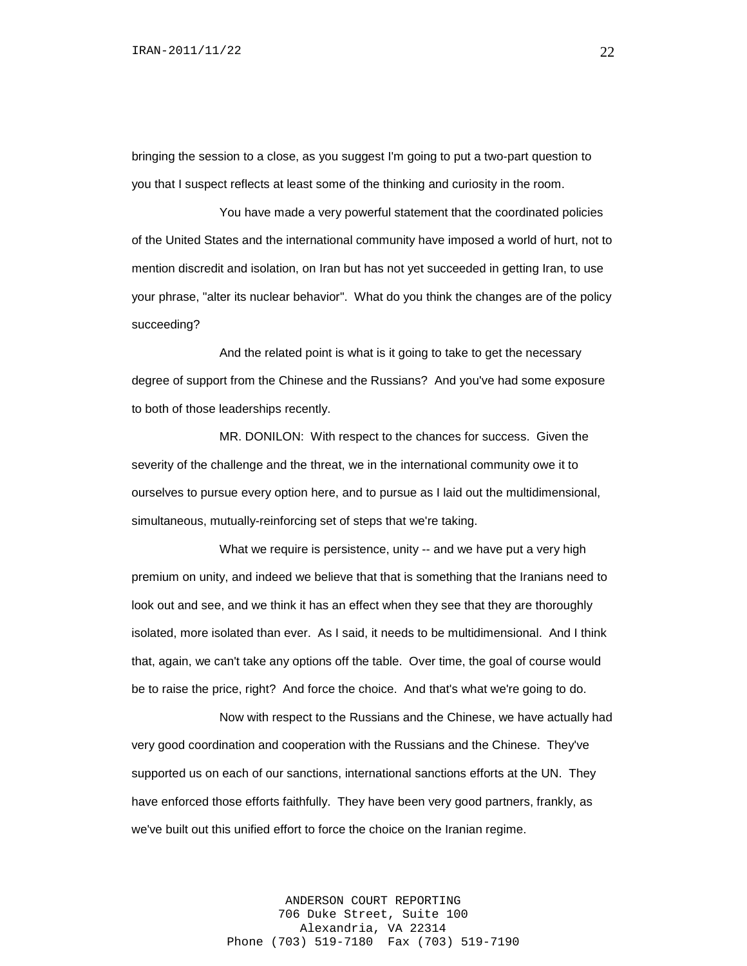bringing the session to a close, as you suggest I'm going to put a two-part question to you that I suspect reflects at least some of the thinking and curiosity in the room.

You have made a very powerful statement that the coordinated policies of the United States and the international community have imposed a world of hurt, not to mention discredit and isolation, on Iran but has not yet succeeded in getting Iran, to use your phrase, "alter its nuclear behavior". What do you think the changes are of the policy succeeding?

And the related point is what is it going to take to get the necessary degree of support from the Chinese and the Russians? And you've had some exposure to both of those leaderships recently.

MR. DONILON: With respect to the chances for success. Given the severity of the challenge and the threat, we in the international community owe it to ourselves to pursue every option here, and to pursue as I laid out the multidimensional, simultaneous, mutually-reinforcing set of steps that we're taking.

What we require is persistence, unity -- and we have put a very high premium on unity, and indeed we believe that that is something that the Iranians need to look out and see, and we think it has an effect when they see that they are thoroughly isolated, more isolated than ever. As I said, it needs to be multidimensional. And I think that, again, we can't take any options off the table. Over time, the goal of course would be to raise the price, right? And force the choice. And that's what we're going to do.

Now with respect to the Russians and the Chinese, we have actually had very good coordination and cooperation with the Russians and the Chinese. They've supported us on each of our sanctions, international sanctions efforts at the UN. They have enforced those efforts faithfully. They have been very good partners, frankly, as we've built out this unified effort to force the choice on the Iranian regime.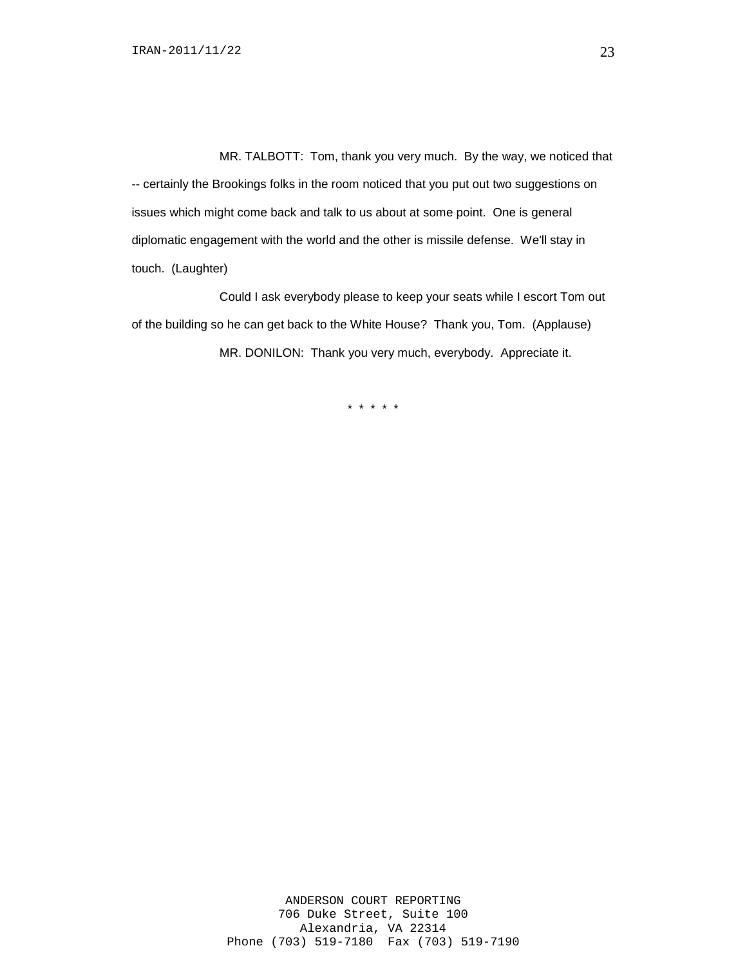MR. TALBOTT: Tom, thank you very much. By the way, we noticed that -- certainly the Brookings folks in the room noticed that you put out two suggestions on issues which might come back and talk to us about at some point. One is general diplomatic engagement with the world and the other is missile defense. We'll stay in touch. (Laughter)

Could I ask everybody please to keep your seats while I escort Tom out of the building so he can get back to the White House? Thank you, Tom. (Applause) MR. DONILON: Thank you very much, everybody. Appreciate it.

\* \* \* \* \*